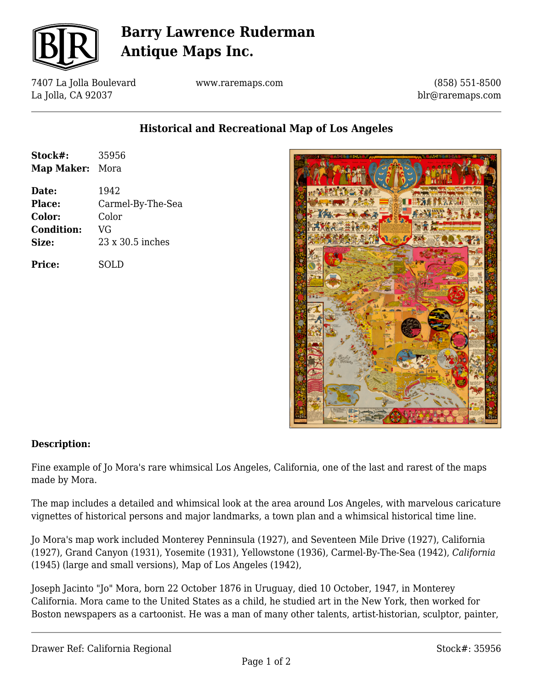

# **Barry Lawrence Ruderman Antique Maps Inc.**

7407 La Jolla Boulevard La Jolla, CA 92037

www.raremaps.com

(858) 551-8500 blr@raremaps.com

### **Historical and Recreational Map of Los Angeles**

| Stock#:           | 35956             |
|-------------------|-------------------|
| Map Maker: Mora   |                   |
| Date:             | 1942              |
| Place:            | Carmel-By-The-Sea |
| Color:            | Color             |
| <b>Condition:</b> | VG                |
| Size:             | 23 x 30.5 inches  |
| <b>Price:</b>     | SOLD              |



#### **Description:**

Fine example of Jo Mora's rare whimsical Los Angeles, California, one of the last and rarest of the maps made by Mora.

The map includes a detailed and whimsical look at the area around Los Angeles, with marvelous caricature vignettes of historical persons and major landmarks, a town plan and a whimsical historical time line.

Jo Mora's map work included Monterey Penninsula (1927), and Seventeen Mile Drive (1927), California (1927), Grand Canyon (1931), Yosemite (1931), Yellowstone (1936), Carmel-By-The-Sea (1942), *California* (1945) (large and small versions), Map of Los Angeles (1942),

Joseph Jacinto "Jo" Mora, born 22 October 1876 in Uruguay, died 10 October, 1947, in Monterey California. Mora came to the United States as a child, he studied art in the New York, then worked for Boston newspapers as a cartoonist. He was a man of many other talents, artist-historian, sculptor, painter,